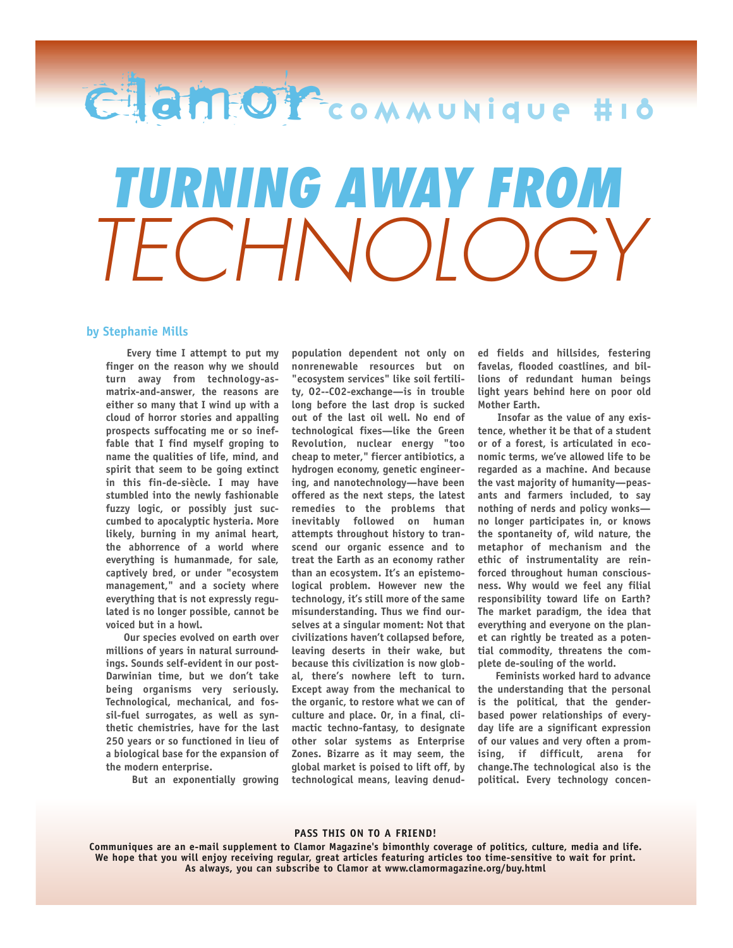## **TURNING AWAY FROM** *TECHNOLOGY* ClamOrcommunique #10

## **by Stephanie Mills**

**Every time I attempt to put my finger on the reason why we should turn away from technology-asmatrix-and-answer, the reasons are either so many that I wind up with a cloud of horror stories and appalling prospects suffocating me or so ineffable that I find myself groping to name the qualities of life, mind, and spirit that seem to be going extinct in this fin-de-siècle. I may have stumbled into the newly fashionable fuzzy logic, or possibly just succumbed to apocalyptic hysteria. More likely, burning in my animal heart, the abhorrence of a world where everything is humanmade, for sale, captively bred, or under "ecosystem management," and a society where everything that is not expressly regulated is no longer possible, cannot be voiced but in a howl.**

**Our species evolved on earth over millions of years in natural surroundings. Sounds self-evident in our post-Darwinian time, but we don't take being organisms very seriously. Technological, mechanical, and fossil-fuel surrogates, as well as synthetic chemistries, have for the last 250 years or so functioned in lieu of a biological base for the expansion of the modern enterprise.**

**But an exponentially growing**

**population dependent not only on nonrenewable** resources but on **"ecosystem services" like soil fertility, O2--CO2-exchange—is in trouble long before the last drop is sucked out of the last oil well. No end of technological fixes—like the Green R evolution, nuclear energy "too cheap to meter," fiercer antibiotics, a hydrogen economy, genetic engineering, and nanotechnology—have been offered as the next steps, the latest remedies to the problems that** inevitably followed on human **attempts throughout history to transcend our organic essence and to treat the Earth as an economy rather than an ecosystem. It's an epistemological problem. However new the technology, it's still more of the same misunderstanding. Thus we find ourselves at a singular moment: Not that civilizations haven't collapsed before, leaving deserts in their wake, but because this civilization is now glob**al, there's nowhere left to turn. **Except away from the mechanical to the organic, to restore what we can of culture and place. Or, in a final, climactic techno-fantasy, to designate other solar systems as Enterprise Zones. Bizarre as it may seem, the global market is poised to lift off, by technological means, leaving denud-** **ed fields and hillsides, festering favelas, flooded coastlines, and billions of redundant human beings light years behind here on poor old Mother Earth.**

**Insofar as the value of any existence, whether it be that of a student or of a forest, is articulated in economic terms, we've allowed life to be regarded as a machine. And because the vast majority of humanity—peasants and farmers included, to say nothing of nerds and policy wonks no longer participates in, or knows the spontaneity of, wild nature, the metaphor of mechanism and the** ethic of instrumentality are rein**forced throughout human consciousness. Why would we feel any filial responsibility toward life on Earth? The market paradigm, the idea that everything and everyone on the planet can rightly be treated as a potential commodity, threatens the complete de-souling of the world.**

**Feminists worked hard to advance the understanding that the personal is the political, that the genderbased power relationships of everyday life are a significant expression of our values and very often a prom**ising, if difficult, arena for **change.The technological also is the political. Every technology concen-**

## **PASS THIS ON TO A FRIEND!**

Communiques are an e-mail supplement to Clamor Magazine's bimonthly coverage of politics, culture, media and life. We hope that you will enjoy receiving regular, great articles featuring articles too time-sensitive to wait for print. As always, you can subscribe to Clamor at www.clamormagazine.org/buy.html